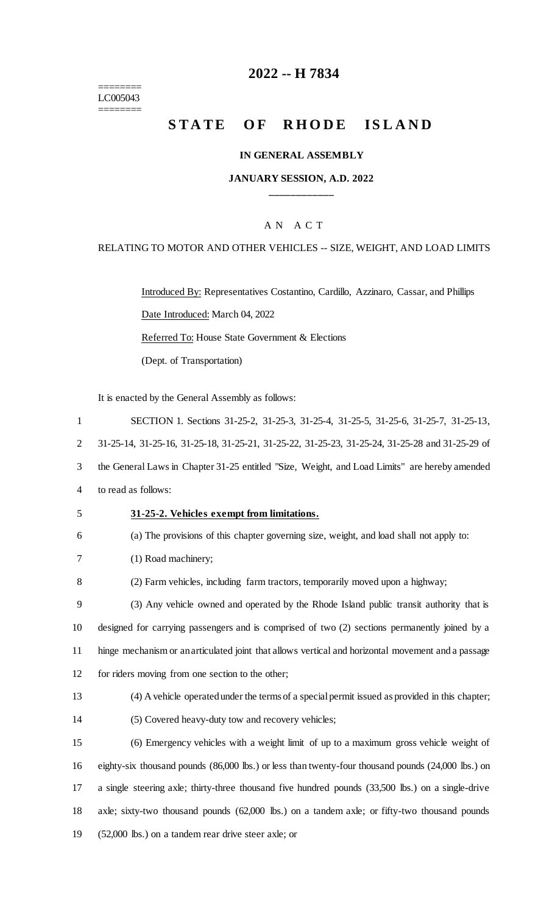======== LC005043

 $=$ 

# **2022 -- H 7834**

# **STATE OF RHODE ISLAND**

### **IN GENERAL ASSEMBLY**

# **JANUARY SESSION, A.D. 2022 \_\_\_\_\_\_\_\_\_\_\_\_**

# A N A C T

#### RELATING TO MOTOR AND OTHER VEHICLES -- SIZE, WEIGHT, AND LOAD LIMITS

Introduced By: Representatives Costantino, Cardillo, Azzinaro, Cassar, and Phillips Date Introduced: March 04, 2022 Referred To: House State Government & Elections (Dept. of Transportation)

It is enacted by the General Assembly as follows:

| $\mathbf{1}$   | SECTION 1. Sections 31-25-2, 31-25-3, 31-25-4, 31-25-5, 31-25-6, 31-25-7, 31-25-13,                |
|----------------|----------------------------------------------------------------------------------------------------|
| 2              | 31-25-14, 31-25-16, 31-25-18, 31-25-21, 31-25-22, 31-25-23, 31-25-24, 31-25-28 and 31-25-29 of     |
| 3              | the General Laws in Chapter 31-25 entitled "Size, Weight, and Load Limits" are hereby amended      |
| $\overline{4}$ | to read as follows:                                                                                |
| 5              | 31-25-2. Vehicles exempt from limitations.                                                         |
| 6              | (a) The provisions of this chapter governing size, weight, and load shall not apply to:            |
| 7              | (1) Road machinery;                                                                                |
| 8              | (2) Farm vehicles, including farm tractors, temporarily moved upon a highway;                      |
| 9              | (3) Any vehicle owned and operated by the Rhode Island public transit authority that is            |
| 10             | designed for carrying passengers and is comprised of two (2) sections permanently joined by a      |
| 11             | hinge mechanism or an articulated joint that allows vertical and horizontal movement and a passage |
| 12             | for riders moving from one section to the other;                                                   |
| 13             | (4) A vehicle operated under the terms of a special permit issued as provided in this chapter;     |
| 14             | (5) Covered heavy-duty tow and recovery vehicles;                                                  |
| 15             | (6) Emergency vehicles with a weight limit of up to a maximum gross vehicle weight of              |
| 16             | eighty-six thousand pounds (86,000 lbs.) or less than twenty-four thousand pounds (24,000 lbs.) on |
| 17             | a single steering axle; thirty-three thousand five hundred pounds (33,500 lbs.) on a single-drive  |
| 18             | axle; sixty-two thousand pounds (62,000 lbs.) on a tandem axle; or fifty-two thousand pounds       |
| 19             | (52,000 lbs.) on a tandem rear drive steer axle; or                                                |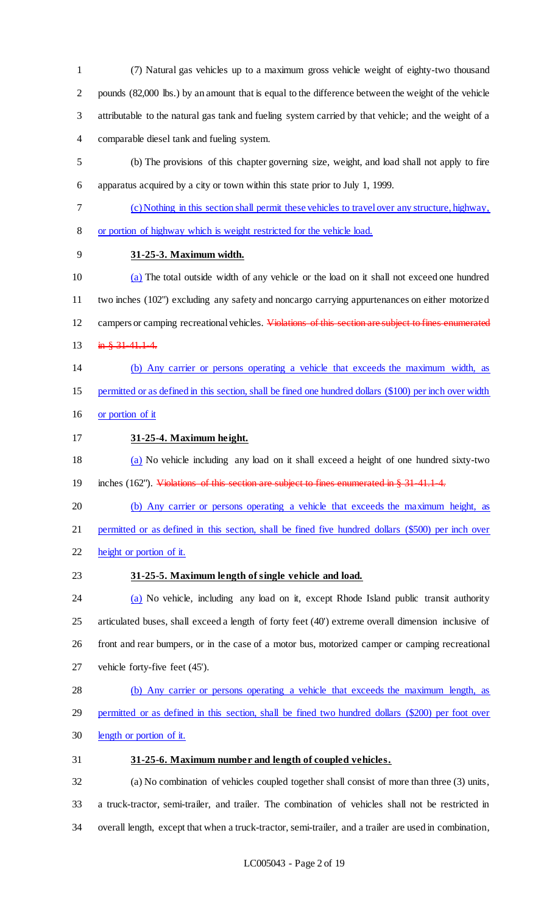(7) Natural gas vehicles up to a maximum gross vehicle weight of eighty-two thousand pounds (82,000 lbs.) by an amount that is equal to the difference between the weight of the vehicle attributable to the natural gas tank and fueling system carried by that vehicle; and the weight of a comparable diesel tank and fueling system.

 (b) The provisions of this chapter governing size, weight, and load shall not apply to fire apparatus acquired by a city or town within this state prior to July 1, 1999.

- (c) Nothing in this section shall permit these vehicles to travel over any structure, highway,
- or portion of highway which is weight restricted for the vehicle load.
- **31-25-3. Maximum width.**

 (a) The total outside width of any vehicle or the load on it shall not exceed one hundred two inches (102") excluding any safety and noncargo carrying appurtenances on either motorized 12 campers or camping recreational vehicles. Violations of this section are subject to fines enumerated 13 in § 31-41.1-4.

- (b) Any carrier or persons operating a vehicle that exceeds the maximum width, as permitted or as defined in this section, shall be fined one hundred dollars (\$100) per inch over width
- 16 or portion of it
- **31-25-4. Maximum height.**

 (a) No vehicle including any load on it shall exceed a height of one hundred sixty-two 19 inches (162"). Violations of this section are subject to fines enumerated in § 31-41.1-4.

 (b) Any carrier or persons operating a vehicle that exceeds the maximum height, as permitted or as defined in this section, shall be fined five hundred dollars (\$500) per inch over height or portion of it.

# **31-25-5. Maximum length of single vehicle and load.**

24 (a) No vehicle, including any load on it, except Rhode Island public transit authority articulated buses, shall exceed a length of forty feet (40') extreme overall dimension inclusive of front and rear bumpers, or in the case of a motor bus, motorized camper or camping recreational vehicle forty-five feet (45').

 (b) Any carrier or persons operating a vehicle that exceeds the maximum length, as permitted or as defined in this section, shall be fined two hundred dollars (\$200) per foot over

- length or portion of it.
- **31-25-6. Maximum number and length of coupled vehicles.**

 (a) No combination of vehicles coupled together shall consist of more than three (3) units, a truck-tractor, semi-trailer, and trailer. The combination of vehicles shall not be restricted in overall length, except that when a truck-tractor, semi-trailer, and a trailer are used in combination,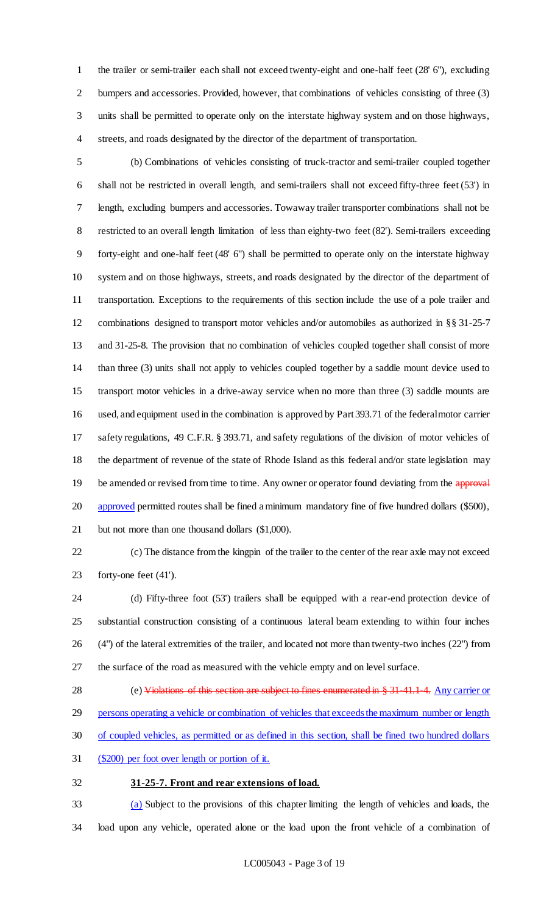the trailer or semi-trailer each shall not exceed twenty-eight and one-half feet (28' 6"), excluding 2 bumpers and accessories. Provided, however, that combinations of vehicles consisting of three (3) units shall be permitted to operate only on the interstate highway system and on those highways, streets, and roads designated by the director of the department of transportation.

 (b) Combinations of vehicles consisting of truck-tractor and semi-trailer coupled together shall not be restricted in overall length, and semi-trailers shall not exceed fifty-three feet (53') in length, excluding bumpers and accessories. Towaway trailer transporter combinations shall not be restricted to an overall length limitation of less than eighty-two feet (82'). Semi-trailers exceeding forty-eight and one-half feet (48' 6") shall be permitted to operate only on the interstate highway system and on those highways, streets, and roads designated by the director of the department of transportation. Exceptions to the requirements of this section include the use of a pole trailer and combinations designed to transport motor vehicles and/or automobiles as authorized in §§ 31-25-7 and 31-25-8. The provision that no combination of vehicles coupled together shall consist of more than three (3) units shall not apply to vehicles coupled together by a saddle mount device used to transport motor vehicles in a drive-away service when no more than three (3) saddle mounts are used, and equipment used in the combination is approved by Part 393.71 of the federal motor carrier safety regulations, 49 C.F.R. § 393.71, and safety regulations of the division of motor vehicles of the department of revenue of the state of Rhode Island as this federal and/or state legislation may 19 be amended or revised from time to time. Any owner or operator found deviating from the approval 20 approved permitted routes shall be fined a minimum mandatory fine of five hundred dollars (\$500), but not more than one thousand dollars (\$1,000).

 (c) The distance from the kingpin of the trailer to the center of the rear axle may not exceed forty-one feet (41').

- (d) Fifty-three foot (53') trailers shall be equipped with a rear-end protection device of substantial construction consisting of a continuous lateral beam extending to within four inches (4") of the lateral extremities of the trailer, and located not more than twenty-two inches (22") from the surface of the road as measured with the vehicle empty and on level surface.
- 28 (e) Violations of this section are subject to fines enumerated in § 31-41.1-4. Any carrier or 29 persons operating a vehicle or combination of vehicles that exceeds the maximum number or length
- of coupled vehicles, as permitted or as defined in this section, shall be fined two hundred dollars
- (\$200) per foot over length or portion of it.
- **31-25-7. Front and rear extensions of load.**

 (a) Subject to the provisions of this chapter limiting the length of vehicles and loads, the load upon any vehicle, operated alone or the load upon the front vehicle of a combination of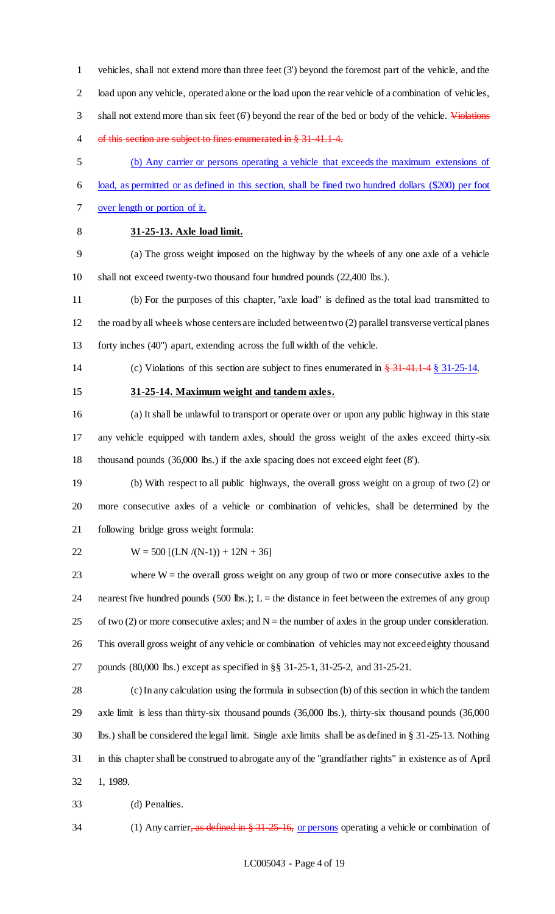vehicles, shall not extend more than three feet (3') beyond the foremost part of the vehicle, and the load upon any vehicle, operated alone or the load upon the rear vehicle of a combination of vehicles, 3 shall not extend more than six feet (6') beyond the rear of the bed or body of the vehicle. Violations of this section are subject to fines enumerated in § 31-41.1-4.

- (b) Any carrier or persons operating a vehicle that exceeds the maximum extensions of
- load, as permitted or as defined in this section, shall be fined two hundred dollars (\$200) per foot
- over length or portion of it.
- 

# **31-25-13. Axle load limit.**

 (a) The gross weight imposed on the highway by the wheels of any one axle of a vehicle shall not exceed twenty-two thousand four hundred pounds (22,400 lbs.).

- (b) For the purposes of this chapter, "axle load" is defined as the total load transmitted to the road by all wheels whose centers are included between two (2) parallel transverse vertical planes forty inches (40") apart, extending across the full width of the vehicle.
- 14 (c) Violations of this section are subject to fines enumerated in  $\frac{24}{34}$  41.1.4 § 31-25-14.
- 

#### **31-25-14. Maximum weight and tandem axles.**

 (a) It shall be unlawful to transport or operate over or upon any public highway in this state any vehicle equipped with tandem axles, should the gross weight of the axles exceed thirty-six thousand pounds (36,000 lbs.) if the axle spacing does not exceed eight feet (8').

 (b) With respect to all public highways, the overall gross weight on a group of two (2) or more consecutive axles of a vehicle or combination of vehicles, shall be determined by the following bridge gross weight formula:

$$
22 \t W = 500 [(LN/(N-1)) + 12N + 36]
$$

 where W = the overall gross weight on any group of two or more consecutive axles to the 24 nearest five hundred pounds  $(500 \text{ lbs.})$ ; L = the distance in feet between the extremes of any group 25 of two (2) or more consecutive axles; and  $N =$  the number of axles in the group under consideration. This overall gross weight of any vehicle or combination of vehicles may not exceed eighty thousand pounds (80,000 lbs.) except as specified in §§ 31-25-1, 31-25-2, and 31-25-21.

 (c) In any calculation using the formula in subsection (b) of this section in which the tandem axle limit is less than thirty-six thousand pounds (36,000 lbs.), thirty-six thousand pounds (36,000 lbs.) shall be considered the legal limit. Single axle limits shall be as defined in § 31-25-13. Nothing in this chapter shall be construed to abrogate any of the "grandfather rights" in existence as of April 1, 1989.

- (d) Penalties.
- 34 (1) Any carrier, as defined in § 31-25-16, or persons operating a vehicle or combination of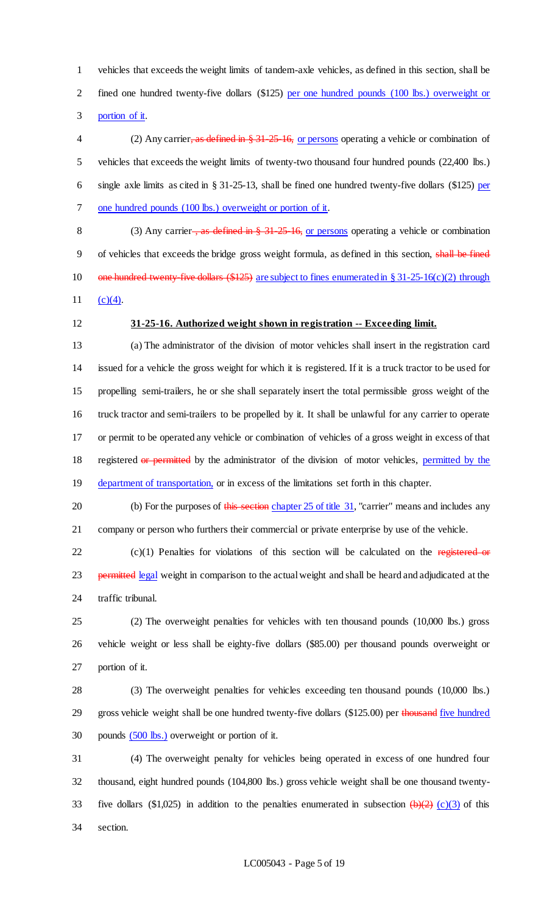vehicles that exceeds the weight limits of tandem-axle vehicles, as defined in this section, shall be 2 fined one hundred twenty-five dollars (\$125) per one hundred pounds (100 lbs.) overweight or portion of it.

4 (2) Any carrier, as defined in § 31-25-16, or persons operating a vehicle or combination of vehicles that exceeds the weight limits of twenty-two thousand four hundred pounds (22,400 lbs.) single axle limits as cited in § 31-25-13, shall be fined one hundred twenty-five dollars (\$125) per 7 one hundred pounds (100 lbs.) overweight or portion of it.

8 (3) Any carrier <del>, as defined in § 31-25-16,</del> or persons operating a vehicle or combination of vehicles that exceeds the bridge gross weight formula, as defined in this section, shall be fined 10 one hundred twenty-five dollars  $(\$125)$  are subject to fines enumerated in § 31-25-16(c)(2) through 11  $(c)(4)$ .

#### **31-25-16. Authorized weight shown in registration -- Exceeding limit.**

 (a) The administrator of the division of motor vehicles shall insert in the registration card issued for a vehicle the gross weight for which it is registered. If it is a truck tractor to be used for propelling semi-trailers, he or she shall separately insert the total permissible gross weight of the truck tractor and semi-trailers to be propelled by it. It shall be unlawful for any carrier to operate or permit to be operated any vehicle or combination of vehicles of a gross weight in excess of that 18 registered or permitted by the administrator of the division of motor vehicles, permitted by the 19 department of transportation, or in excess of the limitations set forth in this chapter.

20 (b) For the purposes of this section chapter 25 of title 31, "carrier" means and includes any company or person who furthers their commercial or private enterprise by use of the vehicle.

 (c)(1) Penalties for violations of this section will be calculated on the registered or 23 permitted legal weight in comparison to the actual weight and shall be heard and adjudicated at the traffic tribunal.

 (2) The overweight penalties for vehicles with ten thousand pounds (10,000 lbs.) gross vehicle weight or less shall be eighty-five dollars (\$85.00) per thousand pounds overweight or portion of it.

 (3) The overweight penalties for vehicles exceeding ten thousand pounds (10,000 lbs.) 29 gross vehicle weight shall be one hundred twenty-five dollars (\$125.00) per thousand five hundred pounds (500 lbs.) overweight or portion of it.

 (4) The overweight penalty for vehicles being operated in excess of one hundred four thousand, eight hundred pounds (104,800 lbs.) gross vehicle weight shall be one thousand twenty-33 five dollars (\$1,025) in addition to the penalties enumerated in subsection  $\left(\frac{\theta}{2}\right)$  (c)(3) of this section.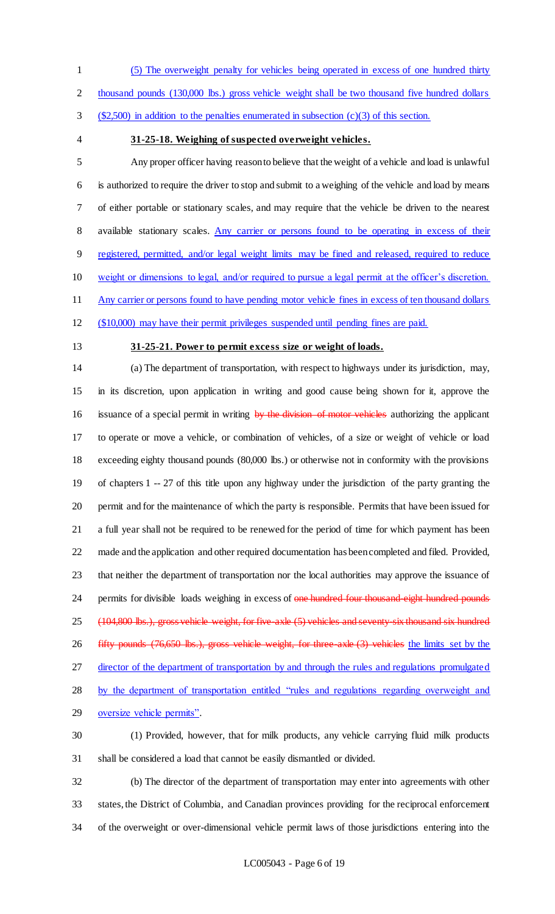(5) The overweight penalty for vehicles being operated in excess of one hundred thirty

2 thousand pounds (130,000 lbs.) gross vehicle weight shall be two thousand five hundred dollars

(\$2,500) in addition to the penalties enumerated in subsection (c)(3) of this section.

#### **31-25-18. Weighing of suspected overweight vehicles.**

 Any proper officer having reason to believe that the weight of a vehicle and load is unlawful is authorized to require the driver to stop and submit to a weighing of the vehicle and load by means of either portable or stationary scales, and may require that the vehicle be driven to the nearest 8 available stationary scales. Any carrier or persons found to be operating in excess of their registered, permitted, and/or legal weight limits may be fined and released, required to reduce weight or dimensions to legal, and/or required to pursue a legal permit at the officer's discretion. Any carrier or persons found to have pending motor vehicle fines in excess of ten thousand dollars

(\$10,000) may have their permit privileges suspended until pending fines are paid.

### **31-25-21. Power to permit excess size or weight of loads.**

 (a) The department of transportation, with respect to highways under its jurisdiction, may, in its discretion, upon application in writing and good cause being shown for it, approve the 16 issuance of a special permit in writing by the division of motor vehicles authorizing the applicant to operate or move a vehicle, or combination of vehicles, of a size or weight of vehicle or load exceeding eighty thousand pounds (80,000 lbs.) or otherwise not in conformity with the provisions of chapters 1 -- 27 of this title upon any highway under the jurisdiction of the party granting the permit and for the maintenance of which the party is responsible. Permits that have been issued for a full year shall not be required to be renewed for the period of time for which payment has been made and the application and other required documentation has been completed and filed. Provided, that neither the department of transportation nor the local authorities may approve the issuance of 24 permits for divisible loads weighing in excess of one hundred four thousand eight hundred pounds (104,800 lbs.), gross vehicle weight, for five-axle (5) vehicles and seventy-six thousand six hundred fifty pounds (76,650 lbs.), gross vehicle weight, for three-axle (3) vehicles the limits set by the 27 director of the department of transportation by and through the rules and regulations promulgated by the department of transportation entitled "rules and regulations regarding overweight and oversize vehicle permits". (1) Provided, however, that for milk products, any vehicle carrying fluid milk products

shall be considered a load that cannot be easily dismantled or divided.

 (b) The director of the department of transportation may enter into agreements with other states, the District of Columbia, and Canadian provinces providing for the reciprocal enforcement of the overweight or over-dimensional vehicle permit laws of those jurisdictions entering into the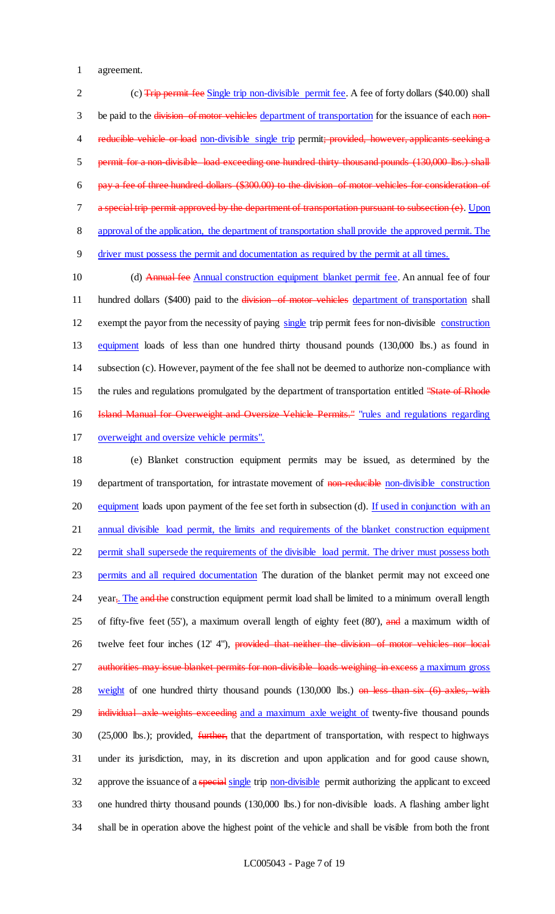1 agreement.

2 (c) Trip permit fee Single trip non-divisible permit fee. A fee of forty dollars (\$40.00) shall 3 be paid to the division of motor vehicles department of transportation for the issuance of each non-4 reducible vehicle or load non-divisible single trip permit; provided, however, applicants seeking a 5 permit for a non-divisible load exceeding one hundred thirty thousand pounds (130,000 lbs.) shall 6 pay a fee of three hundred dollars (\$300.00) to the division of motor vehicles for consideration of 7 a special trip permit approved by the department of transportation pursuant to subsection (e). Upon 8 approval of the application, the department of transportation shall provide the approved permit. The 9 driver must possess the permit and documentation as required by the permit at all times.

10 (d) Annual fee Annual construction equipment blanket permit fee. An annual fee of four 11 hundred dollars (\$400) paid to the division of motor vehicles department of transportation shall exempt the payor from the necessity of paying single trip permit fees for non-divisible construction equipment loads of less than one hundred thirty thousand pounds (130,000 lbs.) as found in subsection (c). However, payment of the fee shall not be deemed to authorize non-compliance with 15 the rules and regulations promulgated by the department of transportation entitled "State of Rhode" **Island Manual for Overweight and Oversize Vehicle Permits."** "rules and regulations regarding overweight and oversize vehicle permits".

18 (e) Blanket construction equipment permits may be issued, as determined by the 19 department of transportation, for intrastate movement of non-reducible non-divisible construction 20 equipment loads upon payment of the fee set forth in subsection (d). If used in conjunction with an 21 annual divisible load permit, the limits and requirements of the blanket construction equipment 22 permit shall supersede the requirements of the divisible load permit. The driver must possess both 23 permits and all required documentation The duration of the blanket permit may not exceed one 24 year<sub>5</sub>. The and the construction equipment permit load shall be limited to a minimum overall length 25 of fifty-five feet (55'), a maximum overall length of eighty feet (80'), and a maximum width of 26 twelve feet four inches (12' 4"), provided that neither the division of motor vehicles nor local 27 authorities may issue blanket permits for non-divisible loads weighing in excess a maximum gross 28 weight of one hundred thirty thousand pounds (130,000 lbs.) on less than six (6) axles, with 29 individual axle weights exceeding and a maximum axle weight of twenty-five thousand pounds 30 (25,000 lbs.); provided, further, that the department of transportation, with respect to highways 31 under its jurisdiction, may, in its discretion and upon application and for good cause shown, 32 approve the issuance of a special single trip non-divisible permit authorizing the applicant to exceed 33 one hundred thirty thousand pounds (130,000 lbs.) for non-divisible loads. A flashing amber light 34 shall be in operation above the highest point of the vehicle and shall be visible from both the front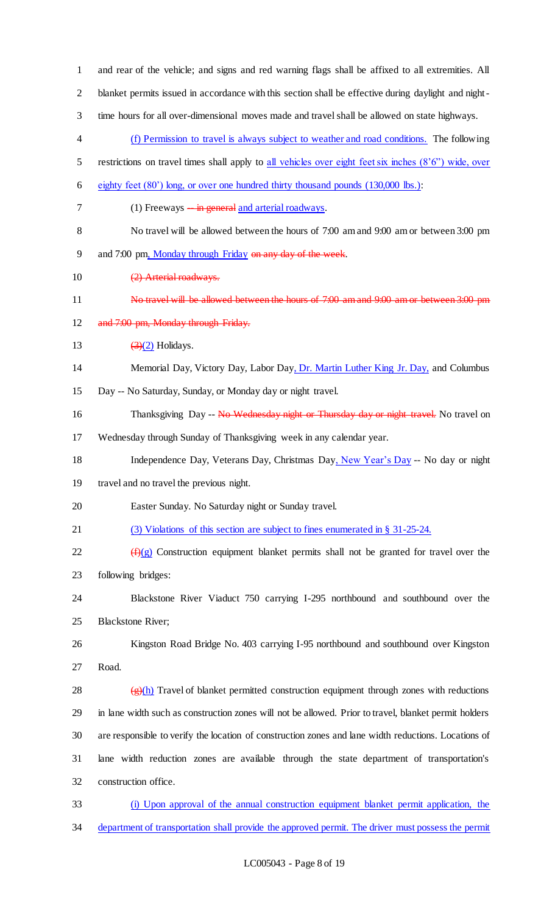| $\mathbf{1}$             | and rear of the vehicle; and signs and red warning flags shall be affixed to all extremities. All                 |
|--------------------------|-------------------------------------------------------------------------------------------------------------------|
| $\overline{2}$           | blanket permits issued in accordance with this section shall be effective during daylight and night-              |
| 3                        | time hours for all over-dimensional moves made and travel shall be allowed on state highways.                     |
| $\overline{\mathcal{A}}$ | (f) Permission to travel is always subject to weather and road conditions. The following                          |
| 5                        | restrictions on travel times shall apply to all vehicles over eight feet six inches (8'6") wide, over             |
| 6                        | eighty feet (80') long, or over one hundred thirty thousand pounds (130,000 lbs.):                                |
| 7                        | (1) Freeways $-\frac{in}{}$ general and arterial roadways.                                                        |
| $8\,$                    | No travel will be allowed between the hours of 7:00 am and 9:00 am or between 3:00 pm                             |
| 9                        | and 7:00 pm, Monday through Friday on any day of the week.                                                        |
| 10                       | (2) Arterial roadways.                                                                                            |
| 11                       | No travel will be allowed between the hours of 7:00 am and 9:00 am or between 3:00 pm                             |
| 12                       | and 7:00 pm, Monday through Friday.                                                                               |
| 13                       | $\left(\frac{3}{2}\right)$ Holidays.                                                                              |
| 14                       | Memorial Day, Victory Day, Labor Day, Dr. Martin Luther King Jr. Day, and Columbus                                |
| 15                       | Day -- No Saturday, Sunday, or Monday day or night travel.                                                        |
| 16                       | Thanksgiving Day -- No Wednesday night or Thursday day or night travel. No travel on                              |
| 17                       | Wednesday through Sunday of Thanksgiving week in any calendar year.                                               |
| 18                       | Independence Day, Veterans Day, Christmas Day, New Year's Day -- No day or night                                  |
| 19                       | travel and no travel the previous night.                                                                          |
| 20                       | Easter Sunday. No Saturday night or Sunday travel.                                                                |
| 21                       | (3) Violations of this section are subject to fines enumerated in § 31-25-24.                                     |
| 22                       | $(\hat{H})(g)$ Construction equipment blanket permits shall not be granted for travel over the                    |
| 23                       | following bridges:                                                                                                |
| 24                       | Blackstone River Viaduct 750 carrying I-295 northbound and southbound over the                                    |
| 25                       | <b>Blackstone River;</b>                                                                                          |
| 26                       | Kingston Road Bridge No. 403 carrying I-95 northbound and southbound over Kingston                                |
| 27                       | Road.                                                                                                             |
| 28                       | $\left(\frac{f(x)}{g(x)}\right)$ Travel of blanket permitted construction equipment through zones with reductions |
| 29                       | in lane width such as construction zones will not be allowed. Prior to travel, blanket permit holders             |
| 30                       | are responsible to verify the location of construction zones and lane width reductions. Locations of              |
| 31                       | lane width reduction zones are available through the state department of transportation's                         |
| 32                       | construction office.                                                                                              |
| 33                       | (i) Upon approval of the annual construction equipment blanket permit application, the                            |
| 34                       | department of transportation shall provide the approved permit. The driver must possess the permit                |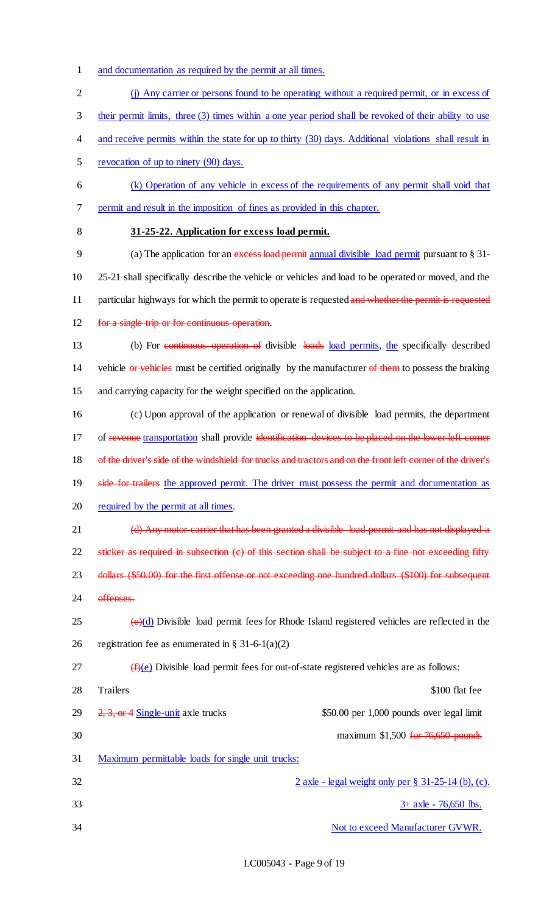- 1 and documentation as required by the permit at all times.
- 2 (j) Any carrier or persons found to be operating without a required permit, or in excess of
- 3 their permit limits, three (3) times within a one year period shall be revoked of their ability to use
- 4 and receive permits within the state for up to thirty (30) days. Additional violations shall result in
- 5 revocation of up to ninety (90) days.
- 6 (k) Operation of any vehicle in excess of the requirements of any permit shall void that 7 permit and result in the imposition of fines as provided in this chapter.
- 

#### 8 **31-25-22. Application for excess load permit.**

- 9 (a) The application for an excess load permit annual divisible load permit pursuant to § 31-10 25-21 shall specifically describe the vehicle or vehicles and load to be operated or moved, and the 11 particular highways for which the permit to operate is requested and whether the permit is requested
- 12 for a single trip or for continuous operation.
- 13 (b) For continuous operation of divisible loads load permits, the specifically described

14 vehicle or vehicles must be certified originally by the manufacturer of them to possess the braking 15 and carrying capacity for the weight specified on the application.

16 (c) Upon approval of the application or renewal of divisible load permits, the department 17 of revenue transportation shall provide identification devices to be placed on the lower left corner 18 of the driver's side of the windshield for trucks and tractors and on the front left corner of the driver's 19 side for trailers the approved permit. The driver must possess the permit and documentation as 20 required by the permit at all times.

21 (d) Any motor carrier that has been granted a divisible load permit and has not displayed a 22 sticker as required in subsection (c) of this section shall be subject to a fine not exceeding fifty

23 dollars (\$50.00) for the first offense or not exceeding one hundred dollars (\$100) for subsequent

- 24 offenses.
- $25$  (e)(d) Divisible load permit fees for Rhode Island registered vehicles are reflected in the 26 registration fee as enumerated in  $\S 31-6-1(a)(2)$
- $27 \left( f \right)(e)$  Divisible load permit fees for out-of-state registered vehicles are as follows:

| 28 | Trailers                                          | \$100 flat fee                            |
|----|---------------------------------------------------|-------------------------------------------|
| 29 | $2, 3,$ or 4 Single-unit axle trucks              | \$50.00 per 1,000 pounds over legal limit |
| 30 |                                                   | maximum $$1,500$ for 76,650 pounds        |
| 31 | Maximum permittable loads for single unit trucks: |                                           |

 $2 \text{ axle}$  - legal weight only per  $\S$  31-25-14 (b), (c).  $33 + 4x = 76,650$  lbs. 34 Not to exceed Manufacturer GVWR.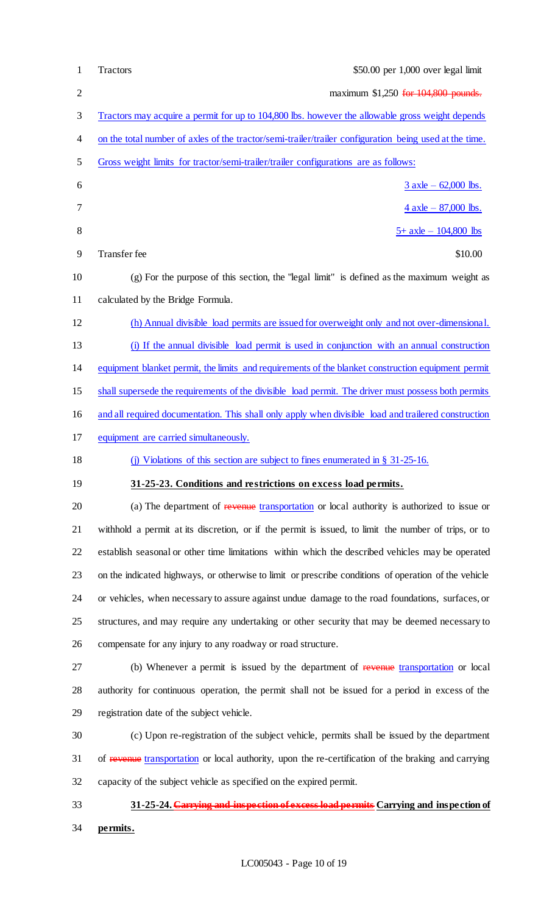| $\mathbf{1}$ | \$50.00 per 1,000 over legal limit<br><b>Tractors</b>                                                  |
|--------------|--------------------------------------------------------------------------------------------------------|
| $\mathbf{2}$ | maximum \$1,250 for 104,800 pounds.                                                                    |
| 3            | Tractors may acquire a permit for up to 104,800 lbs. however the allowable gross weight depends        |
| 4            | on the total number of axles of the tractor/semi-trailer/trailer configuration being used at the time. |
| 5            | Gross weight limits for tractor/semi-trailer/trailer configurations are as follows:                    |
| 6            | $3$ axle – 62,000 lbs.                                                                                 |
| 7            | $4$ axle $-$ 87,000 lbs.                                                                               |
| $8\,$        | $5+$ axle $-104,800$ lbs                                                                               |
| 9            | Transfer fee<br>\$10.00                                                                                |
| 10           | $(g)$ For the purpose of this section, the "legal limit" is defined as the maximum weight as           |
| 11           | calculated by the Bridge Formula.                                                                      |
| 12           | (h) Annual divisible load permits are issued for overweight only and not over-dimensional.             |
| 13           | (i) If the annual divisible load permit is used in conjunction with an annual construction             |
| 14           | equipment blanket permit, the limits and requirements of the blanket construction equipment permit     |
| 15           | shall supersede the requirements of the divisible load permit. The driver must possess both permits    |
| 16           | and all required documentation. This shall only apply when divisible load and trailered construction   |
| 17           | equipment are carried simultaneously.                                                                  |
| 18           | (j) Violations of this section are subject to fines enumerated in $\S$ 31-25-16.                       |
| 19           | 31-25-23. Conditions and restrictions on excess load permits.                                          |
| 20           | (a) The department of revenue transportation or local authority is authorized to issue or              |
| 21           | withhold a permit at its discretion, or if the permit is issued, to limit the number of trips, or to   |
| 22           | establish seasonal or other time limitations within which the described vehicles may be operated       |
| 23           | on the indicated highways, or otherwise to limit or prescribe conditions of operation of the vehicle   |
| 24           | or vehicles, when necessary to assure against undue damage to the road foundations, surfaces, or       |
| 25           | structures, and may require any undertaking or other security that may be deemed necessary to          |
| 26           | compensate for any injury to any roadway or road structure.                                            |
| 27           | (b) Whenever a permit is issued by the department of revenue transportation or local                   |
| 28           | authority for continuous operation, the permit shall not be issued for a period in excess of the       |
| 29           | registration date of the subject vehicle.                                                              |
| 30           | (c) Upon re-registration of the subject vehicle, permits shall be issued by the department             |
| 31           | of revenue transportation or local authority, upon the re-certification of the braking and carrying    |
| 32           | capacity of the subject vehicle as specified on the expired permit.                                    |
| 33           | 31-25-24. Carrying and inspection of excess load permits Carrying and inspection of                    |
| 34           | permits.                                                                                               |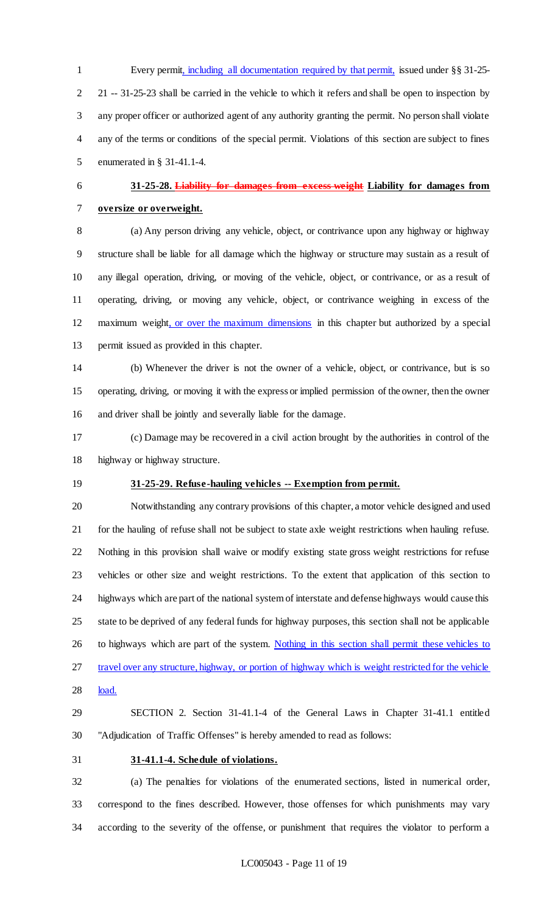Every permit, including all documentation required by that permit, issued under §§ 31-25- 21 -- 31-25-23 shall be carried in the vehicle to which it refers and shall be open to inspection by any proper officer or authorized agent of any authority granting the permit. No person shall violate any of the terms or conditions of the special permit. Violations of this section are subject to fines enumerated in § 31-41.1-4.

# **31-25-28. Liability for damages from excess weight Liability for damages from oversize or overweight.**

 (a) Any person driving any vehicle, object, or contrivance upon any highway or highway structure shall be liable for all damage which the highway or structure may sustain as a result of any illegal operation, driving, or moving of the vehicle, object, or contrivance, or as a result of operating, driving, or moving any vehicle, object, or contrivance weighing in excess of the maximum weight, or over the maximum dimensions in this chapter but authorized by a special permit issued as provided in this chapter.

 (b) Whenever the driver is not the owner of a vehicle, object, or contrivance, but is so operating, driving, or moving it with the express or implied permission of the owner, then the owner and driver shall be jointly and severally liable for the damage.

 (c) Damage may be recovered in a civil action brought by the authorities in control of the highway or highway structure.

# **31-25-29. Refuse-hauling vehicles -- Exemption from permit.**

 Notwithstanding any contrary provisions of this chapter, a motor vehicle designed and used for the hauling of refuse shall not be subject to state axle weight restrictions when hauling refuse. Nothing in this provision shall waive or modify existing state gross weight restrictions for refuse vehicles or other size and weight restrictions. To the extent that application of this section to highways which are part of the national system of interstate and defense highways would cause this state to be deprived of any federal funds for highway purposes, this section shall not be applicable 26 to highways which are part of the system. Nothing in this section shall permit these vehicles to 27 travel over any structure, highway, or portion of highway which is weight restricted for the vehicle load.

 SECTION 2. Section 31-41.1-4 of the General Laws in Chapter 31-41.1 entitled "Adjudication of Traffic Offenses" is hereby amended to read as follows:

#### **31-41.1-4. Schedule of violations.**

 (a) The penalties for violations of the enumerated sections, listed in numerical order, correspond to the fines described. However, those offenses for which punishments may vary according to the severity of the offense, or punishment that requires the violator to perform a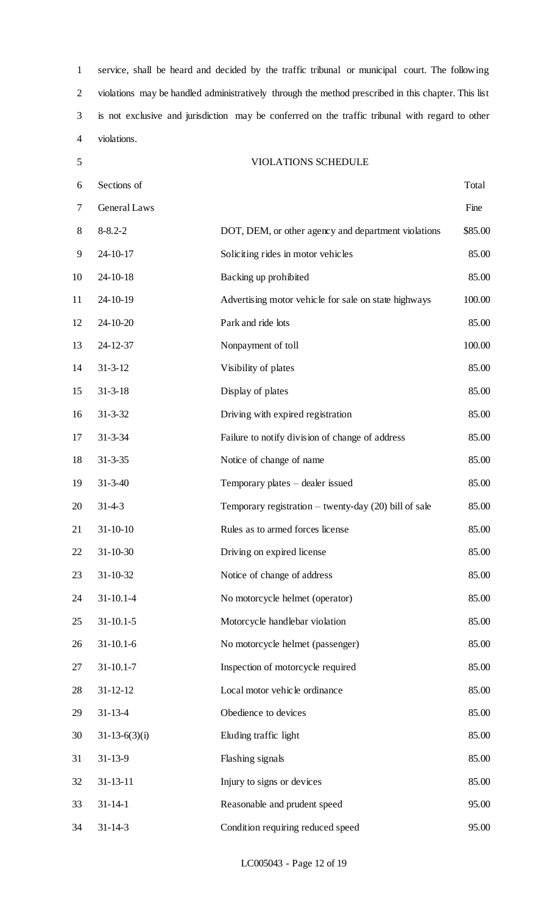service, shall be heard and decided by the traffic tribunal or municipal court. The following violations may be handled administratively through the method prescribed in this chapter. This list is not exclusive and jurisdiction may be conferred on the traffic tribunal with regard to other violations.

VIOLATIONS SCHEDULE

 Sections of Total General Laws Fine 8 8-8.2-2 DOT, DEM, or other agency and department violations \$85.00 24-10-17 Soliciting rides in motor vehicles 85.00 24-10-18 Backing up prohibited 85.00 24-10-19 Advertising motor vehicle for sale on state highways 100.00 24-10-20 Park and ride lots 85.00 24-12-37 Nonpayment of toll 100.00 14 31-3-12 Visibility of plates 85.00 31-3-18 Display of plates 85.00 31-3-32 Driving with expired registration 85.00 31-3-34 Failure to notify division of change of address 85.00 31-3-35 Notice of change of name 85.00 31-3-40 Temporary plates – dealer issued 85.00 31-4-3 Temporary registration – twenty-day (20) bill of sale 85.00 21 31-10-10 Rules as to armed forces license 85.00 31-10-30 Driving on expired license 85.00 31-10-32 Notice of change of address 85.00 31-10.1-4 No motorcycle helmet (operator) 85.00 31-10.1-5 Motorcycle handlebar violation 85.00 31-10.1-6 No motorcycle helmet (passenger) 85.00 31-10.1-7 Inspection of motorcycle required 85.00 28 31-12-12 Local motor vehicle ordinance 85.00 31-13-4 Obedience to devices 85.00 31-13-6(3)(i) Eluding traffic light 85.00 31-13-9 Flashing signals 85.00 32 31-13-11 Injury to signs or devices 85.00 31-14-1 Reasonable and prudent speed 95.00 31-14-3 Condition requiring reduced speed 95.00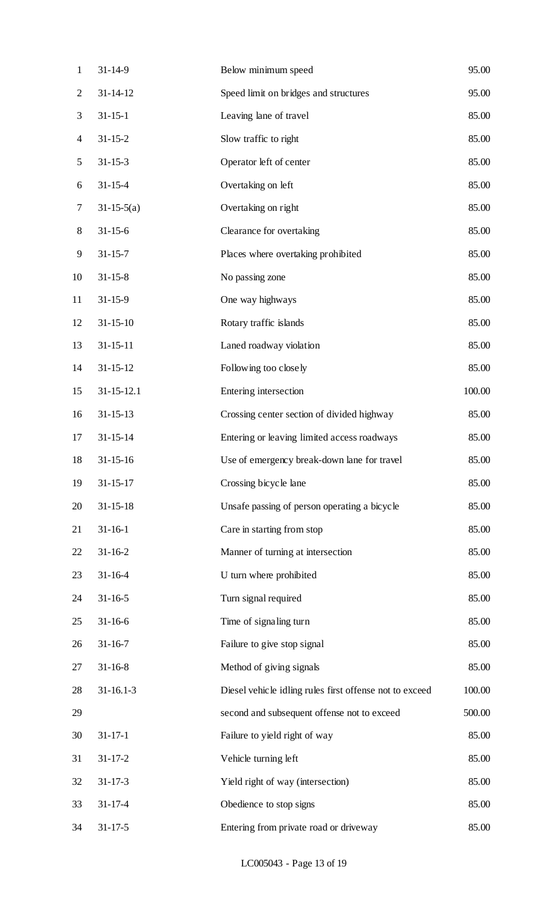| $\mathbf{1}$   | $31 - 14 - 9$    | Below minimum speed                                     | 95.00  |
|----------------|------------------|---------------------------------------------------------|--------|
| $\overline{2}$ | $31 - 14 - 12$   | Speed limit on bridges and structures                   | 95.00  |
| 3              | $31 - 15 - 1$    | Leaving lane of travel                                  | 85.00  |
| $\overline{4}$ | $31 - 15 - 2$    | Slow traffic to right                                   | 85.00  |
| 5              | $31 - 15 - 3$    | Operator left of center                                 | 85.00  |
| 6              | $31 - 15 - 4$    | Overtaking on left                                      | 85.00  |
| 7              | $31-15-5(a)$     | Overtaking on right                                     | 85.00  |
| $8\,$          | $31 - 15 - 6$    | Clearance for overtaking                                | 85.00  |
| 9              | $31 - 15 - 7$    | Places where overtaking prohibited                      | 85.00  |
| 10             | $31 - 15 - 8$    | No passing zone                                         | 85.00  |
| 11             | $31 - 15 - 9$    | One way highways                                        | 85.00  |
| 12             | $31 - 15 - 10$   | Rotary traffic islands                                  | 85.00  |
| 13             | $31 - 15 - 11$   | Laned roadway violation                                 | 85.00  |
| 14             | $31 - 15 - 12$   | Following too closely                                   | 85.00  |
| 15             | $31 - 15 - 12.1$ | Entering intersection                                   | 100.00 |
| 16             | $31 - 15 - 13$   | Crossing center section of divided highway              | 85.00  |
| 17             | $31 - 15 - 14$   | Entering or leaving limited access roadways             | 85.00  |
| 18             | $31 - 15 - 16$   | Use of emergency break-down lane for travel             | 85.00  |
| 19             | $31 - 15 - 17$   | Crossing bicycle lane                                   | 85.00  |
| 20             | $31 - 15 - 18$   | Unsafe passing of person operating a bicycle            | 85.00  |
| 21             | $31 - 16 - 1$    | Care in starting from stop                              | 85.00  |
| 22             | $31 - 16 - 2$    | Manner of turning at intersection                       | 85.00  |
| 23             | $31 - 16 - 4$    | U turn where prohibited                                 | 85.00  |
| 24             | $31 - 16 - 5$    | Turn signal required                                    | 85.00  |
| 25             | $31 - 16 - 6$    | Time of signaling turn                                  | 85.00  |
| 26             | $31 - 16 - 7$    | Failure to give stop signal                             | 85.00  |
| 27             | $31 - 16 - 8$    | Method of giving signals                                | 85.00  |
| 28             | $31 - 16.1 - 3$  | Diesel vehicle idling rules first offense not to exceed | 100.00 |
| 29             |                  | second and subsequent offense not to exceed             | 500.00 |
| 30             | $31 - 17 - 1$    | Failure to yield right of way                           | 85.00  |
| 31             | $31 - 17 - 2$    | Vehicle turning left                                    | 85.00  |
| 32             | $31 - 17 - 3$    | Yield right of way (intersection)                       | 85.00  |
| 33             | $31 - 17 - 4$    | Obedience to stop signs                                 | 85.00  |
| 34             | $31 - 17 - 5$    | Entering from private road or driveway                  | 85.00  |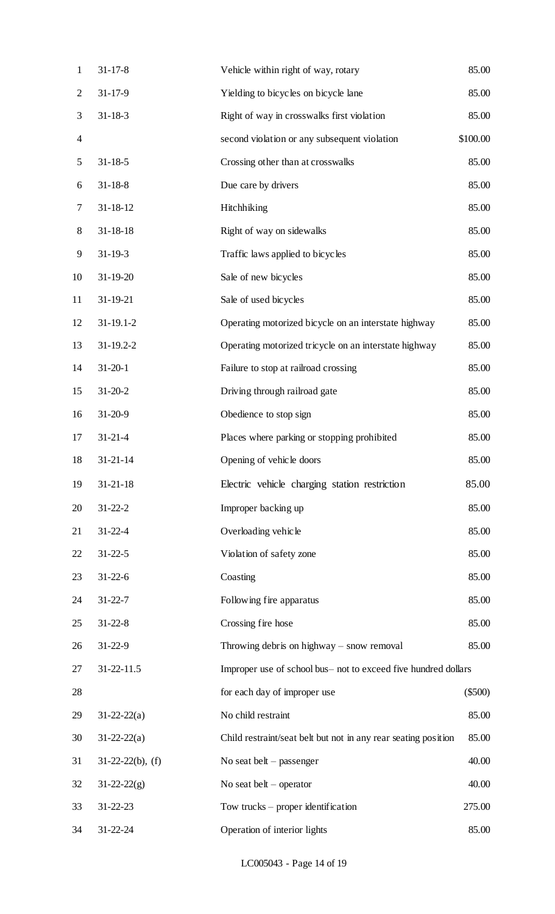| $\mathbf{1}$             | $31 - 17 - 8$       | Vehicle within right of way, rotary                            | 85.00     |
|--------------------------|---------------------|----------------------------------------------------------------|-----------|
| $\overline{2}$           | $31 - 17 - 9$       | Yielding to bicycles on bicycle lane                           | 85.00     |
| 3                        | $31 - 18 - 3$       | Right of way in crosswalks first violation                     | 85.00     |
| $\overline{\mathcal{A}}$ |                     | second violation or any subsequent violation                   | \$100.00  |
| 5                        | $31 - 18 - 5$       | Crossing other than at crosswalks                              | 85.00     |
| 6                        | $31 - 18 - 8$       | Due care by drivers                                            | 85.00     |
| 7                        | $31 - 18 - 12$      | Hitchhiking                                                    | 85.00     |
| $8\,$                    | $31 - 18 - 18$      | Right of way on sidewalks                                      | 85.00     |
| 9                        | $31 - 19 - 3$       | Traffic laws applied to bicycles                               | 85.00     |
| 10                       | $31 - 19 - 20$      | Sale of new bicycles                                           | 85.00     |
| 11                       | 31-19-21            | Sale of used bicycles                                          | 85.00     |
| 12                       | $31 - 19.1 - 2$     | Operating motorized bicycle on an interstate highway           | 85.00     |
| 13                       | $31-19.2-2$         | Operating motorized tricycle on an interstate highway          | 85.00     |
| 14                       | $31 - 20 - 1$       | Failure to stop at railroad crossing                           | 85.00     |
| 15                       | $31 - 20 - 2$       | Driving through railroad gate                                  | 85.00     |
| 16                       | $31 - 20 - 9$       | Obedience to stop sign                                         | 85.00     |
| 17                       | $31 - 21 - 4$       | Places where parking or stopping prohibited                    | 85.00     |
| 18                       | $31 - 21 - 14$      | Opening of vehicle doors                                       | 85.00     |
| 19                       | $31 - 21 - 18$      | Electric vehicle charging station restriction                  | 85.00     |
| 20                       | $31 - 22 - 2$       | Improper backing up                                            | 85.00     |
| 21                       | $31 - 22 - 4$       | Overloading vehicle                                            | 85.00     |
| 22                       | $31 - 22 - 5$       | Violation of safety zone                                       | 85.00     |
| 23                       | $31 - 22 - 6$       | Coasting                                                       | 85.00     |
| 24                       | $31 - 22 - 7$       | Following fire apparatus                                       | 85.00     |
| 25                       | $31 - 22 - 8$       | Crossing fire hose                                             | 85.00     |
| 26                       | $31 - 22 - 9$       | Throwing debris on highway $-$ snow removal                    | 85.00     |
| 27                       | 31-22-11.5          | Improper use of school bus- not to exceed five hundred dollars |           |
| 28                       |                     | for each day of improper use                                   | $(\$500)$ |
| 29                       | $31 - 22 - 22(a)$   | No child restraint                                             | 85.00     |
| 30                       | $31 - 22 - 22(a)$   | Child restraint/seat belt but not in any rear seating position | 85.00     |
| 31                       | $31-22-22(b)$ , (f) | No seat belt $-$ passenger                                     | 40.00     |
| 32                       | $31 - 22 - 22(g)$   | No seat belt $-$ operator                                      | 40.00     |
| 33                       | $31 - 22 - 23$      | Tow trucks $-$ proper identification                           | 275.00    |
| 34                       | $31 - 22 - 24$      | Operation of interior lights                                   | 85.00     |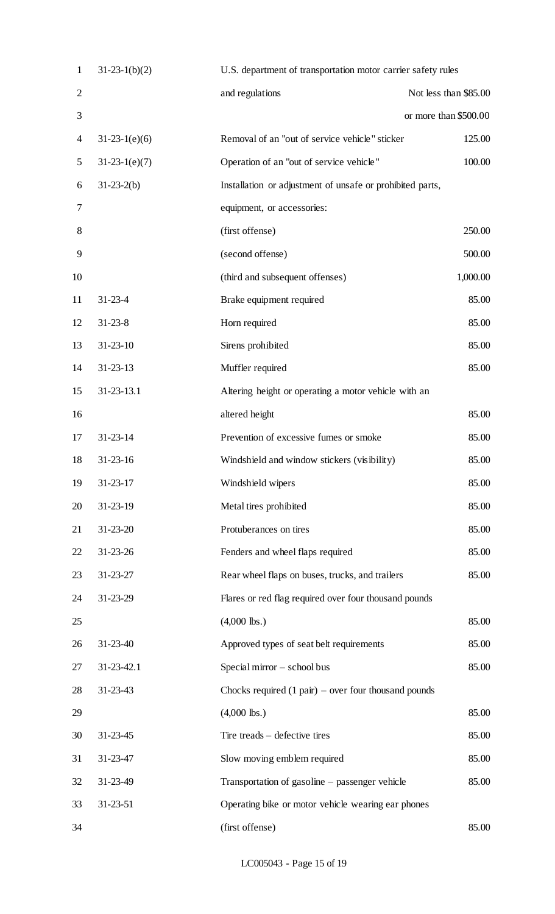| $\mathbf{1}$   | $31-23-1(b)(2)$ | U.S. department of transportation motor carrier safety rules   |                       |
|----------------|-----------------|----------------------------------------------------------------|-----------------------|
| $\overline{2}$ |                 | and regulations                                                | Not less than \$85.00 |
| 3              |                 |                                                                | or more than \$500.00 |
| 4              | $31-23-1(e)(6)$ | Removal of an "out of service vehicle" sticker                 | 125.00                |
| 5              | $31-23-1(e)(7)$ | Operation of an "out of service vehicle"                       | 100.00                |
| 6              | $31-23-2(b)$    | Installation or adjustment of unsafe or prohibited parts,      |                       |
| 7              |                 | equipment, or accessories:                                     |                       |
| 8              |                 | (first offense)                                                | 250.00                |
| 9              |                 | (second offense)                                               | 500.00                |
| 10             |                 | (third and subsequent offenses)                                | 1,000.00              |
| 11             | $31 - 23 - 4$   | Brake equipment required                                       | 85.00                 |
| 12             | $31 - 23 - 8$   | Horn required                                                  | 85.00                 |
| 13             | $31 - 23 - 10$  | Sirens prohibited                                              | 85.00                 |
| 14             | $31 - 23 - 13$  | Muffler required                                               | 85.00                 |
| 15             | 31-23-13.1      | Altering height or operating a motor vehicle with an           |                       |
| 16             |                 | altered height                                                 | 85.00                 |
| 17             | $31 - 23 - 14$  | Prevention of excessive fumes or smoke                         | 85.00                 |
| 18             | $31 - 23 - 16$  | Windshield and window stickers (visibility)                    | 85.00                 |
| 19             | $31 - 23 - 17$  | Windshield wipers                                              | 85.00                 |
| 20             | $31 - 23 - 19$  | Metal tires prohibited                                         | 85.00                 |
| 21             | $31 - 23 - 20$  | Protuberances on tires                                         | 85.00                 |
| 22             | $31 - 23 - 26$  | Fenders and wheel flaps required                               | 85.00                 |
| 23             | $31 - 23 - 27$  | Rear wheel flaps on buses, trucks, and trailers                | 85.00                 |
| 24             | 31-23-29        | Flares or red flag required over four thousand pounds          |                       |
| 25             |                 | $(4,000$ lbs.)                                                 | 85.00                 |
| 26             | $31 - 23 - 40$  | Approved types of seat belt requirements                       | 85.00                 |
| 27             | 31-23-42.1      | Special mirror - school bus                                    | 85.00                 |
| 28             | $31 - 23 - 43$  | Chocks required $(1 \text{ pair})$ – over four thousand pounds |                       |
| 29             |                 | $(4,000$ lbs.)                                                 | 85.00                 |
| 30             | $31 - 23 - 45$  | Tire treads – defective tires                                  | 85.00                 |
| 31             | 31-23-47        | Slow moving emblem required                                    | 85.00                 |
| 32             | 31-23-49        | Transportation of gasoline – passenger vehicle                 | 85.00                 |
| 33             | $31 - 23 - 51$  | Operating bike or motor vehicle wearing ear phones             |                       |
| 34             |                 | (first offense)                                                | 85.00                 |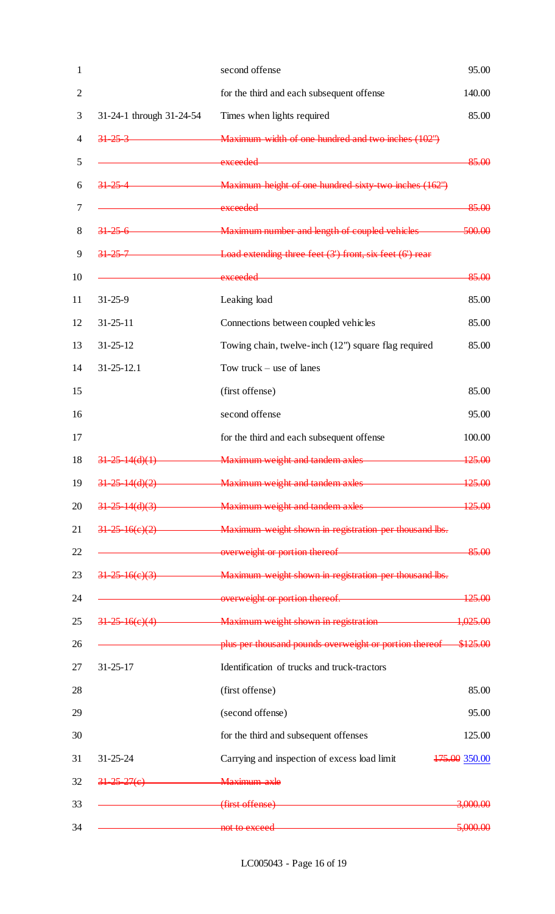|                          | second offense                                                                                                                                                                                                                 | 95.00         |
|--------------------------|--------------------------------------------------------------------------------------------------------------------------------------------------------------------------------------------------------------------------------|---------------|
|                          | for the third and each subsequent offense                                                                                                                                                                                      | 140.00        |
| 31-24-1 through 31-24-54 | Times when lights required                                                                                                                                                                                                     | 85.00         |
| $31 - 25 - 3$            | Maximum width of one hundred and two inches (102")                                                                                                                                                                             |               |
|                          | exceeded                                                                                                                                                                                                                       | 85.00         |
|                          | 31 25 4 Maximum height of one hundred sixty two inches (162")                                                                                                                                                                  |               |
|                          | exceeded and a state of the state of the state of the state of the state of the state of the state of the state of the state of the state of the state of the state of the state of the state of the state of the state of the | 85.00         |
| $31\,25\,6$              | Maximum number and length of coupled vehicles                                                                                                                                                                                  | 500.00        |
| $31 - 25 - 7$            | Load extending three feet $(3')$ front, six feet $(6')$ rear                                                                                                                                                                   |               |
|                          |                                                                                                                                                                                                                                | 85.00         |
| $31 - 25 - 9$            | Leaking load                                                                                                                                                                                                                   | 85.00         |
| $31 - 25 - 11$           | Connections between coupled vehicles                                                                                                                                                                                           | 85.00         |
| $31 - 25 - 12$           | Towing chain, twelve-inch (12") square flag required                                                                                                                                                                           | 85.00         |
| $31 - 25 - 12.1$         | Tow truck $-$ use of lanes                                                                                                                                                                                                     |               |
|                          | (first offense)                                                                                                                                                                                                                | 85.00         |
|                          | second offense                                                                                                                                                                                                                 | 95.00         |
|                          | for the third and each subsequent offense                                                                                                                                                                                      | 100.00        |
| $31 - 25 - 14(d)(1)$     | Maximum weight and tandem axles                                                                                                                                                                                                | 125.00        |
|                          | 31-25-14(d)(2) Maximum weight and tandem axles                                                                                                                                                                                 | 125.00        |
|                          | 31-25-14(d)(3) Maximum weight and tandem axles                                                                                                                                                                                 | 125.00        |
|                          | 31-25-16(e)(2) Maximum weight shown in registration per thousand lbs.                                                                                                                                                          |               |
|                          | example and overweight or portion thereof                                                                                                                                                                                      | 85.00         |
| $31-25-16(e)(3)$         | Maximum weight shown in registration per thousand lbs.                                                                                                                                                                         |               |
|                          | overweight or portion thereof. 125.00                                                                                                                                                                                          |               |
| $31-25-16(e)(4)$         | Maximum weight shown in registration 1,025.00                                                                                                                                                                                  |               |
|                          | plus per thousand pounds overweight or portion thereof \$125.00                                                                                                                                                                |               |
| $31 - 25 - 17$           | Identification of trucks and truck-tractors                                                                                                                                                                                    |               |
|                          | (first offense)                                                                                                                                                                                                                | 85.00         |
|                          | (second offense)                                                                                                                                                                                                               | 95.00         |
|                          | for the third and subsequent offenses                                                                                                                                                                                          | 125.00        |
| $31 - 25 - 24$           | Carrying and inspection of excess load limit                                                                                                                                                                                   | 475.00 350.00 |
| $31 - 25 - 27(e)$        | Maximum axle                                                                                                                                                                                                                   |               |
|                          | (first offense)                                                                                                                                                                                                                | 3,000.00      |
|                          | not to exceed <b>with a set of the exceed</b>                                                                                                                                                                                  | 5,000.00      |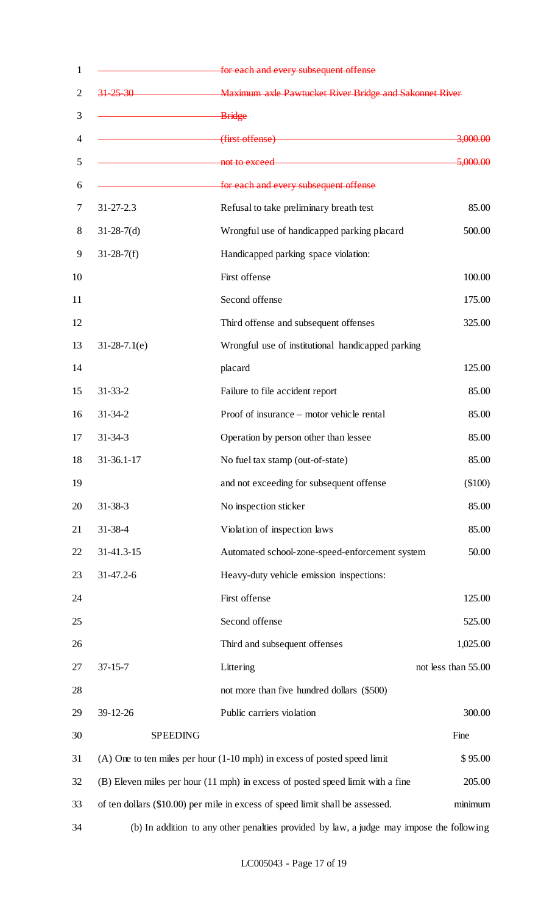| $\mathbf{1}$   |                                                                                      | for each and every subsequent offense                                                    |                     |
|----------------|--------------------------------------------------------------------------------------|------------------------------------------------------------------------------------------|---------------------|
| $\overline{2}$ | $31 - 25 - 30$                                                                       | <b>EXAMPLE 2018</b> Maximum axle Pawtucket River Bridge and Sakonnet River               |                     |
| 3              |                                                                                      | Bridge                                                                                   |                     |
| $\overline{4}$ |                                                                                      | (first offense)                                                                          | <del>3,000.00</del> |
| 5              |                                                                                      | not to exceed <b>with a set of the exceed</b>                                            | 5,000.00            |
| 6              |                                                                                      | for each and every subsequent offense                                                    |                     |
| 7              | $31 - 27 - 2.3$                                                                      | Refusal to take preliminary breath test                                                  | 85.00               |
| 8              | $31-28-7(d)$                                                                         | Wrongful use of handicapped parking placard                                              | 500.00              |
| 9              | $31-28-7(f)$                                                                         | Handicapped parking space violation:                                                     |                     |
| 10             |                                                                                      | First offense                                                                            | 100.00              |
| 11             |                                                                                      | Second offense                                                                           | 175.00              |
| 12             |                                                                                      | Third offense and subsequent offenses                                                    | 325.00              |
| 13             | $31-28-7.1(e)$                                                                       | Wrongful use of institutional handicapped parking                                        |                     |
| 14             |                                                                                      | placard                                                                                  | 125.00              |
| 15             | $31 - 33 - 2$                                                                        | Failure to file accident report                                                          | 85.00               |
| 16             | $31 - 34 - 2$                                                                        | Proof of insurance - motor vehicle rental                                                | 85.00               |
| 17             | $31 - 34 - 3$                                                                        | Operation by person other than lessee                                                    | 85.00               |
| 18             | $31 - 36.1 - 17$                                                                     | No fuel tax stamp (out-of-state)                                                         | 85.00               |
| 19             |                                                                                      | and not exceeding for subsequent offense                                                 | (\$100)             |
| 20             | $31 - 38 - 3$                                                                        | No inspection sticker                                                                    | 85.00               |
| 21             | $31 - 38 - 4$                                                                        | Violation of inspection laws                                                             | 85.00               |
| 22             | 31-41.3-15                                                                           | Automated school-zone-speed-enforcement system                                           | 50.00               |
| 23             | $31-47.2-6$                                                                          | Heavy-duty vehicle emission inspections:                                                 |                     |
| 24             |                                                                                      | First offense                                                                            | 125.00              |
| 25             |                                                                                      | Second offense                                                                           | 525.00              |
| 26             |                                                                                      | Third and subsequent offenses                                                            | 1,025.00            |
| 27             | $37 - 15 - 7$                                                                        | Littering                                                                                | not less than 55.00 |
| 28             |                                                                                      | not more than five hundred dollars (\$500)                                               |                     |
| 29             | 39-12-26                                                                             | Public carriers violation                                                                | 300.00              |
| 30             | <b>SPEEDING</b>                                                                      |                                                                                          | Fine                |
| 31             | $(A)$ One to ten miles per hour $(1-10 \text{ mph})$ in excess of posted speed limit |                                                                                          | \$95.00             |
| 32             |                                                                                      | (B) Eleven miles per hour (11 mph) in excess of posted speed limit with a fine           | 205.00              |
| 33             |                                                                                      | of ten dollars (\$10.00) per mile in excess of speed limit shall be assessed.            | minimum             |
| 34             |                                                                                      | (b) In addition to any other penalties provided by law, a judge may impose the following |                     |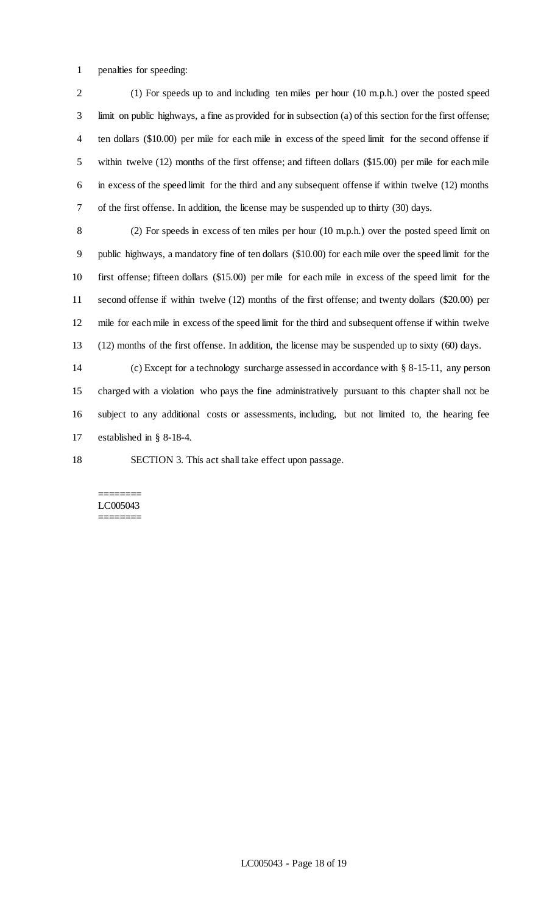penalties for speeding:

 (1) For speeds up to and including ten miles per hour (10 m.p.h.) over the posted speed limit on public highways, a fine as provided for in subsection (a) of this section for the first offense; ten dollars (\$10.00) per mile for each mile in excess of the speed limit for the second offense if within twelve (12) months of the first offense; and fifteen dollars (\$15.00) per mile for each mile in excess of the speed limit for the third and any subsequent offense if within twelve (12) months of the first offense. In addition, the license may be suspended up to thirty (30) days.

 (2) For speeds in excess of ten miles per hour (10 m.p.h.) over the posted speed limit on public highways, a mandatory fine of ten dollars (\$10.00) for each mile over the speed limit for the first offense; fifteen dollars (\$15.00) per mile for each mile in excess of the speed limit for the second offense if within twelve (12) months of the first offense; and twenty dollars (\$20.00) per mile for each mile in excess of the speed limit for the third and subsequent offense if within twelve (12) months of the first offense. In addition, the license may be suspended up to sixty (60) days.

 (c) Except for a technology surcharge assessed in accordance with § 8-15-11, any person charged with a violation who pays the fine administratively pursuant to this chapter shall not be subject to any additional costs or assessments, including, but not limited to, the hearing fee established in § 8-18-4.

SECTION 3. This act shall take effect upon passage.

#### ======== LC005043 ========